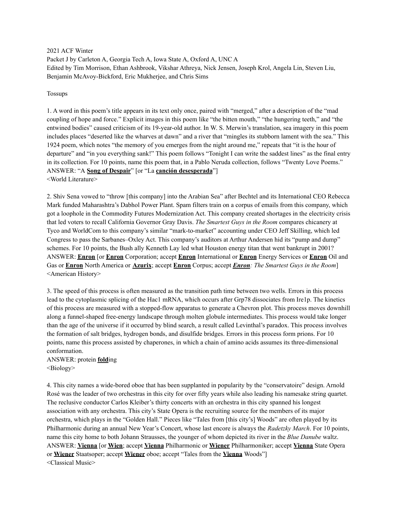2021 ACF Winter Packet J by Carleton A, Georgia Tech A, Iowa State A, Oxford A, UNC A Edited by Tim Morrison, Ethan Ashbrook, Vikshar Athreya, Nick Jensen, Joseph Krol, Angela Lin, Steven Liu, Benjamin McAvoy-Bickford, Eric Mukherjee, and Chris Sims

#### Tossups

1. A word in this poem's title appears in its text only once, paired with "merged," after a description of the "mad coupling of hope and force." Explicit images in this poem like "the bitten mouth," "the hungering teeth," and "the entwined bodies" caused criticism of its 19-year-old author. In W. S. Merwin's translation, sea imagery in this poem includes places "deserted like the wharves at dawn" and a river that "mingles its stubborn lament with the sea." This 1924 poem, which notes "the memory of you emerges from the night around me," repeats that "it is the hour of departure" and "in you everything sank!" This poem follows "Tonight I can write the saddest lines" as the final entry in its collection. For 10 points, name this poem that, in a Pablo Neruda collection, follows "Twenty Love Poems." ANSWER: "A **Song of Despair**" [or "La **canción desesperada**"] <World Literature>

2. Shiv Sena vowed to "throw [this company] into the Arabian Sea" after Bechtel and its International CEO Rebecca Mark funded Maharashtra's Dabhol Power Plant. Spam filters train on a corpus of emails from this company, which got a loophole in the Commodity Futures Modernization Act. This company created shortages in the electricity crisis that led voters to recall California Governor Gray Davis. *The Smartest Guys in the Room* compares chicanery at Tyco and WorldCom to this company's similar "mark-to-market" accounting under CEO Jeff Skilling, which led Congress to pass the Sarbanes–Oxley Act. This company's auditors at Arthur Andersen hid its "pump and dump" schemes. For 10 points, the Bush ally Kenneth Lay led what Houston energy titan that went bankrupt in 2001? ANSWER: **Enron** [or **Enron** Corporation; accept **Enron** International or **Enron** Energy Services or **Enron** Oil and Gas or **Enron** North America or **Azurix**; accept **Enron** Corpus; accept *Enron: The Smartest Guys in the Room*] <American History>

3. The speed of this process is often measured as the transition path time between two wells. Errors in this process lead to the cytoplasmic splicing of the Hac1 mRNA, which occurs after Grp78 dissociates from Ire1p. The kinetics of this process are measured with a stopped-flow apparatus to generate a Chevron plot. This process moves downhill along a funnel-shaped free-energy landscape through molten globule intermediates. This process would take longer than the age of the universe if it occurred by blind search, a result called Levinthal's paradox. This process involves the formation of salt bridges, hydrogen bonds, and disulfide bridges. Errors in this process form prions. For 10 points, name this process assisted by chaperones, in which a chain of amino acids assumes its three-dimensional conformation.

### ANSWER: protein **fold**ing <Biology>

4. This city names a wide-bored oboe that has been supplanted in popularity by the "conservatoire" design. Arnold Rosé was the leader of two orchestras in this city for over fifty years while also leading his namesake string quartet. The reclusive conductor Carlos Kleiber's thirty concerts with an orchestra in this city spanned his longest association with any orchestra. This city's State Opera is the recruiting source for the members of its major orchestra, which plays in the "Golden Hall." Pieces like "Tales from [this city's] Woods" are often played by its Philharmonic during an annual New Year's Concert, whose last encore is always the *Radetzky March*. For 10 points, name this city home to both Johann Strausses, the younger of whom depicted its river in the *Blue Danube* waltz. ANSWER: **Vienna** [or **Wien**; accept **Vienna** Philharmonic or **Wiener** Philharmoniker; accept **Vienna** State Opera or **Wiener** Staatsoper; accept **Wiener** oboe; accept "Tales from the **Vienna** Woods"] <Classical Music>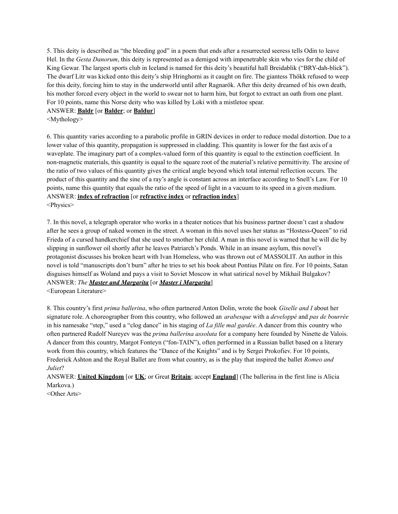5. This deity is described as "the bleeding god" in a poem that ends after a resurrected seeress tells Odin to leave Hel. In the *Gesta Danorum*, this deity is represented as a demigod with impenetrable skin who vies for the child of King Gewar. The largest sports club in Iceland is named for this deity's beautiful hall Breidablik ("BRY-dah-blick"). The dwarf Litr was kicked onto this deity's ship Hringhorni as it caught on fire. The giantess Thökk refused to weep for this deity, forcing him to stay in the underworld until after Ragnarök. After this deity dreamed of his own death, his mother forced every object in the world to swear not to harm him, but forgot to extract an oath from one plant. For 10 points, name this Norse deity who was killed by Loki with a mistletoe spear.

### ANSWER: **Baldr** [or **Balder**; or **Baldur**]

<Mythology>

6. This quantity varies according to a parabolic profile in GRIN devices in order to reduce modal distortion. Due to a lower value of this quantity, propagation is suppressed in cladding. This quantity is lower for the fast axis of a waveplate. The imaginary part of a complex-valued form of this quantity is equal to the extinction coefficient. In non-magnetic materials, this quantity is equal to the square root of the material's relative permittivity. The arcsine of the ratio of two values of this quantity gives the critical angle beyond which total internal reflection occurs. The product of this quantity and the sine of a ray's angle is constant across an interface according to Snell's Law. For 10 points, name this quantity that equals the ratio of the speed of light in a vacuum to its speed in a given medium. ANSWER: **index of refraction** [or **refractive index** or **refraction index**] <Physics>

7. In this novel, a telegraph operator who works in a theater notices that his business partner doesn't cast a shadow after he sees a group of naked women in the street. A woman in this novel uses her status as "Hostess-Queen" to rid Frieda of a cursed handkerchief that she used to smother her child. A man in this novel is warned that he will die by slipping in sunflower oil shortly after he leaves Patriarch's Ponds. While in an insane asylum, this novel's protagonist discusses his broken heart with Ivan Homeless, who was thrown out of MASSOLIT. An author in this novel is told "manuscripts don't burn" after he tries to set his book about Pontius Pilate on fire. For 10 points, Satan disguises himself as Woland and pays a visit to Soviet Moscow in what satirical novel by Mikhail Bulgakov? ANSWER: *The Master and Margarita* [or *Master i Margarita*]

<European Literature>

8. This country's first *prima ballerina*, who often partnered Anton Dolin, wrote the book *Giselle and I* about her signature role. A choreographer from this country, who followed an *arabesque* with a *developpé* and *pas de bourrée* in his namesake "step," used a "clog dance" in his staging of *La fille mal gardée*. A dancer from this country who often partnered Rudolf Nureyev was the *prima ballerina assoluta* for a company here founded by Ninette de Valois. A dancer from this country, Margot Fonteyn ("fon-TAIN"), often performed in a Russian ballet based on a literary work from this country, which features the "Dance of the Knights" and is by Sergei Prokofiev. For 10 points, Frederick Ashton and the Royal Ballet are from what country, as is the play that inspired the ballet *Romeo and Juliet*?

ANSWER: **United Kingdom** [or **UK**; or Great **Britain**; accept **England**] (The ballerina in the first line is Alicia Markova.)

<Other Arts>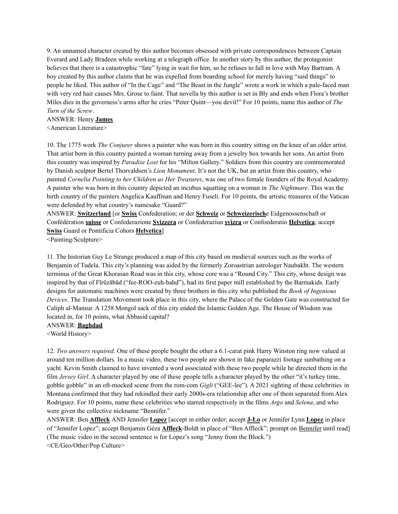9. An unnamed character created by this author becomes obsessed with private correspondences between Captain Everard and Lady Bradeen while working at a telegraph office. In another story by this author, the protagonist believes that there is a catastrophic "fate" lying in wait for him, so he refuses to fall in love with May Bartram. A boy created by this author claims that he was expelled from boarding school for merely having "said things" to people he liked. This author of "In the Cage" and "The Beast in the Jungle" wrote a work in which a pale-faced man with very red hair causes Mrs. Grose to faint. That novella by this author is set in Bly and ends when Flora's brother Miles dies in the governess's arms after he cries "Peter Quint—you devil!" For 10 points, name this author of *The Turn of the Screw*.

ANSWER: Henry **James** <American Literature>

10. The 1775 work *The Conjurer* shows a painter who was born in this country sitting on the knee of an older artist. That artist born in this country painted a woman turning away from a jewelry box towards her sons. An artist from this country was inspired by *Paradise Lost* for his "Milton Gallery." Soldiers from this country are commemorated by Danish sculptor Bertel Thorvaldsen's *Lion Monument*. It's not the UK, but an artist from this country, who painted *Cornelia Pointing to her Children as Her Treasures*, was one of two female founders of the Royal Academy. A painter who was born in this country depicted an incubus squatting on a woman in *The Nightmare*. This was the birth country of the painters Angelica Kauffman and Henry Fuseli. For 10 points, the artistic treasures of the Vatican were defended by what country's namesake "Guard?"

ANSWER: **Switzerland** [or **Swiss** Confederation; or der **Schweiz** or **Schweizerisch**e Eidgenossenschaft or Confédération **suisse** or Confederazione **Svizzera** or Confederaziun **svizra** or Confoederatio **Helvetica**; accept **Swiss** Guard or Pontificia Cohors **Helvetica**]

<Painting/Sculpture>

11. The historian Guy Le Strange produced a map of this city based on medieval sources such as the works of Benjamin of Tudela. This city's planning was aided by the formerly Zoroastrian astrologer Naubakht. The western terminus of the Great Khorasan Road was in this city, whose core was a "Round City." This city, whose design was inspired by that of Fīrūzābād ("fee-ROO-zuh-bahd"), had its first paper mill established by the Barmakids. Early designs for automatic machines were created by three brothers in this city who published the *Book of Ingenious Devices*. The Translation Movement took place in this city, where the Palace of the Golden Gate was constructed for Caliph al-Mansur. A 1258 Mongol sack of this city ended the Islamic Golden Age. The House of Wisdom was located in, for 10 points, what Abbasid capital?

ANSWER: **Baghdad**

<World History>

12. *Two answers required*. One of these people bought the other a 6.1-carat pink Harry Winston ring now valued at around ten million dollars. In a music video, these two people are shown in fake paparazzi footage sunbathing on a yacht. Kevin Smith claimed to have invented a word associated with these two people while he directed them in the film *Jersey Girl*. A character played by one of these people tells a character played by the other "it's turkey time, gobble gobble" in an oft-mocked scene from the rom-com *Gigli* ("GEE-lee"). A 2021 sighting of these celebrities in Montana confirmed that they had rekindled their early 2000s-era relationship after one of them separated from Alex Rodriguez. For 10 points, name these celebrities who starred respectively in the films *Argo* and *Selena*, and who were given the collective nickname "Bennifer."

ANSWER: Ben **Affleck** AND Jennifer **Lopez** [accept in either order; accept **J-Lo** or Jennifer Lynn **Lopez** in place of "Jennifer Lopez"; accept Benjamin Géza **Affleck**-Boldt in place of "Ben Affleck"; prompt on Bennifer until read] (The music video in the second sentence is for Lopez's song "Jenny from the Block.") <CE/Geo/Other/Pop Culture>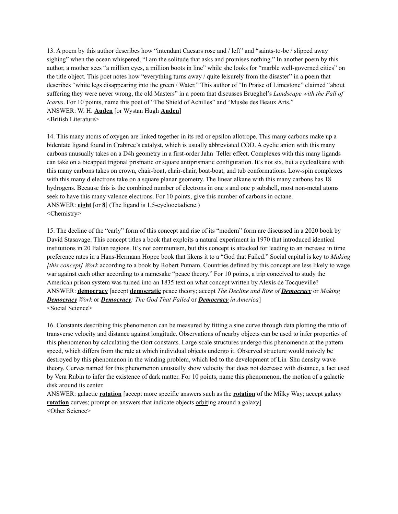13. A poem by this author describes how "intendant Caesars rose and / left" and "saints-to-be / slipped away sighing" when the ocean whispered, "I am the solitude that asks and promises nothing." In another poem by this author, a mother sees "a million eyes, a million boots in line" while she looks for "marble well-governed cities" on the title object. This poet notes how "everything turns away / quite leisurely from the disaster" in a poem that describes "white legs disappearing into the green / Water." This author of "In Praise of Limestone" claimed "about suffering they were never wrong, the old Masters" in a poem that discusses Brueghel's *Landscape with the Fall of Icarus*. For 10 points, name this poet of "The Shield of Achilles" and "Musée des Beaux Arts." ANSWER: W. H. **Auden** [or Wystan Hugh **Auden**] <British Literature>

14. This many atoms of oxygen are linked together in its red or epsilon allotrope. This many carbons make up a bidentate ligand found in Crabtree's catalyst, which is usually abbreviated COD. A cyclic anion with this many carbons unusually takes on a D4h geometry in a first-order Jahn–Teller effect. Complexes with this many ligands can take on a bicapped trigonal prismatic or square antiprismatic configuration. It's not six, but a cycloalkane with this many carbons takes on crown, chair-boat, chair-chair, boat-boat, and tub conformations. Low-spin complexes with this many d electrons take on a square planar geometry. The linear alkane with this many carbons has 18 hydrogens. Because this is the combined number of electrons in one s and one p subshell, most non-metal atoms seek to have this many valence electrons. For 10 points, give this number of carbons in octane. ANSWER: **eight** [or **8**] (The ligand is 1,5-cyclooctadiene.) <Chemistry>

15. The decline of the "early" form of this concept and rise of its "modern" form are discussed in a 2020 book by David Stasavage. This concept titles a book that exploits a natural experiment in 1970 that introduced identical institutions in 20 Italian regions. It's not communism, but this concept is attacked for leading to an increase in time preference rates in a Hans-Hermann Hoppe book that likens it to a "God that Failed." Social capital is key to *Making [this concept] Work* according to a book by Robert Putnam. Countries defined by this concept are less likely to wage war against each other according to a namesake "peace theory." For 10 points, a trip conceived to study the American prison system was turned into an 1835 text on what concept written by Alexis de Tocqueville? ANSWER: **democracy** [accept **democratic** peace theory; accept *The Decline and Rise of Democracy* or *Making Democracy Work* or *Democracy: The God That Failed* or *Democracy in America*] <Social Science>

16. Constants describing this phenomenon can be measured by fitting a sine curve through data plotting the ratio of transverse velocity and distance against longitude. Observations of nearby objects can be used to infer properties of this phenomenon by calculating the Oort constants. Large-scale structures undergo this phenomenon at the pattern speed, which differs from the rate at which individual objects undergo it. Observed structure would naively be destroyed by this phenomenon in the winding problem, which led to the development of Lin–Shu density wave theory. Curves named for this phenomenon unusually show velocity that does not decrease with distance, a fact used by Vera Rubin to infer the existence of dark matter. For 10 points, name this phenomenon, the motion of a galactic disk around its center.

ANSWER: galactic **rotation** [accept more specific answers such as the **rotation** of the Milky Way; accept galaxy **rotation** curves; prompt on answers that indicate objects orbiting around a galaxy] <Other Science>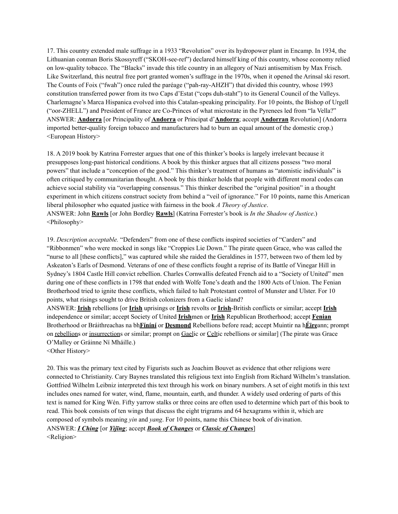17. This country extended male suffrage in a 1933 "Revolution" over its hydropower plant in Encamp. In 1934, the Lithuanian conman Boris Skossyreff ("SKOH-see-ref") declared himself king of this country, whose economy relied on low-quality tobacco. The "Blacks" invade this title country in an allegory of Nazi antisemitism by Max Frisch. Like Switzerland, this neutral free port granted women's suffrage in the 1970s, when it opened the Arinsal ski resort. The Counts of Foix ("fwah") once ruled the paréage ("pah-ray-AHZH") that divided this country, whose 1993 constitution transferred power from its two Caps d'Estat ("cops duh-staht") to its General Council of the Valleys. Charlemagne's Marca Hispanica evolved into this Catalan-speaking principality. For 10 points, the Bishop of Urgell ("oor-ZHELL") and President of France are Co-Princes of what microstate in the Pyrenees led from "la Vella?" ANSWER: **Andorra** [or Principality of **Andorra** or Principat d'**Andorra**; accept **Andorran** Revolution] (Andorra imported better-quality foreign tobacco and manufacturers had to burn an equal amount of the domestic crop.) <European History>

18. A 2019 book by Katrina Forrester argues that one of this thinker's books is largely irrelevant because it presupposes long-past historical conditions. A book by this thinker argues that all citizens possess "two moral powers" that include a "conception of the good." This thinker's treatment of humans as "atomistic individuals" is often critiqued by communitarian thought. A book by this thinker holds that people with different moral codes can achieve social stability via "overlapping consensus." This thinker described the "original position" in a thought experiment in which citizens construct society from behind a "veil of ignorance." For 10 points, name this American liberal philosopher who equated justice with fairness in the book *A Theory of Justice*. ANSWER: John **Rawls** [or John Bordley **Rawls**] (Katrina Forrester's book is *In the Shadow of Justice*.) <Philosophy>

19. *Description acceptable.* "Defenders" from one of these conflicts inspired societies of "Carders" and "Ribbonmen" who were mocked in songs like "Croppies Lie Down." The pirate queen Grace, who was called the "nurse to all [these conflicts]," was captured while she raided the Geraldines in 1577, between two of them led by Askeaton's Earls of Desmond. Veterans of one of these conflicts fought a reprise of its Battle of Vinegar Hill in Sydney's 1804 Castle Hill convict rebellion. Charles Cornwallis defeated French aid to a "Society of United" men during one of these conflicts in 1798 that ended with Wolfe Tone's death and the 1800 Acts of Union. The Fenian Brotherhood tried to ignite these conflicts, which failed to halt Protestant control of Munster and Ulster. For 10 points, what risings sought to drive British colonizers from a Gaelic island?

ANSWER: **Irish** rebellions [or **Irish** uprisings or **Irish** revolts or **Irish**-British conflicts or similar; accept **Irish** independence or similar; accept Society of United **Irish**men or **Irish** Republican Brotherhood; accept **Fenian** Brotherhood or Bráithreachas na bh**Fíníní** or **Desmond** Rebellions before read; accept Muintir na h**Éire**ann; prompt on rebellions or insurrections or similar; prompt on Gaelic or Celtic rebellions or similar] (The pirate was Grace O'Malley or Gráinne Ní Mháille.)

<Other History>

20. This was the primary text cited by Figurists such as Joachim Bouvet as evidence that other religions were connected to Christianity. Cary Baynes translated this religious text into English from Richard Wilhelm's translation. Gottfried Wilhelm Leibniz interpreted this text through his work on binary numbers. A set of eight motifs in this text includes ones named for water, wind, flame, mountain, earth, and thunder. A widely used ordering of parts of this text is named for King Wén. Fifty yarrow stalks or three coins are often used to determine which part of this book to read. This book consists of ten wings that discuss the eight trigrams and 64 hexagrams within it, which are composed of symbols meaning *yin* and *yang*. For 10 points, name this Chinese book of divination. ANSWER: *I Ching* [or *Yìjīng*; accept *Book of Changes* or *Classic of Changes*] <Religion>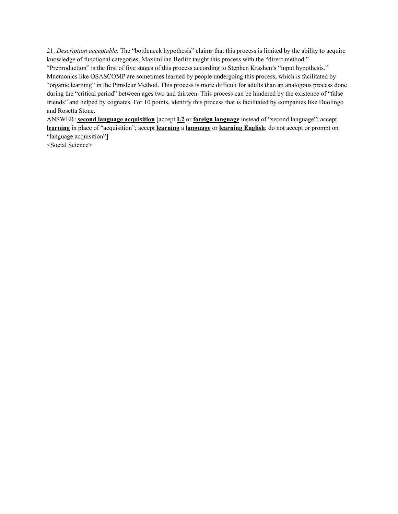21. *Description acceptable.* The "bottleneck hypothesis" claims that this process is limited by the ability to acquire knowledge of functional categories. Maximilian Berlitz taught this process with the "direct method."

"Preproduction" is the first of five stages of this process according to Stephen Krashen's "input hypothesis." Mnemonics like OSASCOMP are sometimes learned by people undergoing this process, which is facilitated by "organic learning" in the Pimsleur Method. This process is more difficult for adults than an analogous process done during the "critical period" between ages two and thirteen. This process can be hindered by the existence of "false" friends" and helped by cognates. For 10 points, identify this process that is facilitated by companies like Duolingo and Rosetta Stone.

ANSWER: **second language acquisition** [accept **L2** or **foreign language** instead of "second language"; accept **learning** in place of "acquisition"; accept **learning** a **language** or **learning English**; do not accept or prompt on "language acquisition"]

<Social Science>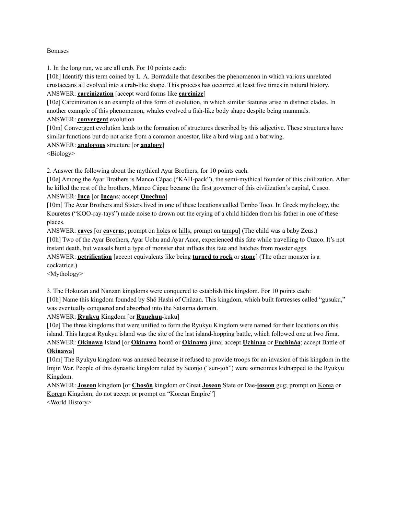### Bonuses

1. In the long run, we are all crab. For 10 points each:

[10h] Identify this term coined by L. A. Borradaile that describes the phenomenon in which various unrelated crustaceans all evolved into a crab-like shape. This process has occurred at least five times in natural history. ANSWER: **carcinization** [accept word forms like **carcinize**]

[10e] Carcinization is an example of this form of evolution, in which similar features arise in distinct clades. In another example of this phenomenon, whales evolved a fish-like body shape despite being mammals.

### ANSWER: **convergent** evolution

[10m] Convergent evolution leads to the formation of structures described by this adjective. These structures have similar functions but do not arise from a common ancestor, like a bird wing and a bat wing.

### ANSWER: **analogous** structure [or **analogy**]

<Biology>

2. Answer the following about the mythical Ayar Brothers, for 10 points each.

[10e] Among the Ayar Brothers is Manco Cápac ("KAH-pack"), the semi-mythical founder of this civilization. After he killed the rest of the brothers, Manco Cápac became the first governor of this civilization's capital, Cusco.

# ANSWER: **Inca** [or **Inca**ns; accept **Quechua**]

[10m] The Ayar Brothers and Sisters lived in one of these locations called Tambo Toco. In Greek mythology, the Kouretes ("KOO-ray-tays") made noise to drown out the crying of a child hidden from his father in one of these places.

ANSWER: **cave**s [or **cavern**s; prompt on holes or hills; prompt on tampu] (The child was a baby Zeus.) [10h] Two of the Ayar Brothers, Ayar Uchu and Ayar Auca, experienced this fate while travelling to Cuzco. It's not instant death, but weasels hunt a type of monster that inflicts this fate and hatches from rooster eggs.

ANSWER: **petrification** [accept equivalents like being **turned to rock** or **stone**] (The other monster is a cockatrice.)

<Mythology>

3. The Hokuzan and Nanzan kingdoms were conquered to establish this kingdom. For 10 points each: [10h] Name this kingdom founded by Shō Hashi of Chūzan. This kingdom, which built fortresses called "gusuku," was eventually conquered and absorbed into the Satsuma domain.

### ANSWER: **Ryukyu** Kingdom [or **Ruuchuu**-kuku]

[10e] The three kingdoms that were unified to form the Ryukyu Kingdom were named for their locations on this island. This largest Ryukyu island was the site of the last island-hopping battle, which followed one at Iwo Jima. ANSWER: **Okinawa** Island [or **Okinawa**-hontō or **Okinawa**-jima; accept **Uchinaa** or **Fuchináa**; accept Battle of

## **Okinawa**]

[10m] The Ryukyu kingdom was annexed because it refused to provide troops for an invasion of this kingdom in the Imjin War. People of this dynastic kingdom ruled by Seonjo ("sun-joh") were sometimes kidnapped to the Ryukyu Kingdom.

ANSWER: **Joseon** kingdom [or **Chosŏn** kingdom or Great **Joseon** State or Dae-**joseon** gug; prompt on Korea or Korean Kingdom; do not accept or prompt on "Korean Empire"] <World History>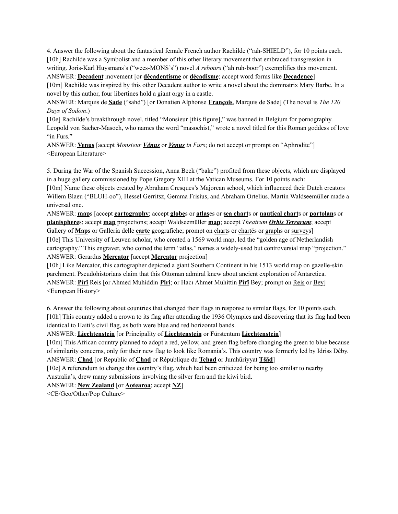4. Answer the following about the fantastical female French author Rachilde ("rah-SHIELD"), for 10 points each. [10h] Rachilde was a Symbolist and a member of this other literary movement that embraced transgression in writing. Joris-Karl Huysmans's ("wees-MONS's") novel *À rebours* ("ah ruh-boor") exemplifies this movement. ANSWER: **Decadent** movement [or **décadentisme** or **décadisme**; accept word forms like **Decadence**]

[10m] Rachilde was inspired by this other Decadent author to write a novel about the dominatrix Mary Barbe. In a novel by this author, four libertines hold a giant orgy in a castle.

ANSWER: Marquis de **Sade** ("sahd") [or Donatien Alphonse **François**, Marquis de Sade] (The novel is *The 120 Days of Sodom*.)

[10e] Rachilde's breakthrough novel, titled "Monsieur [this figure]," was banned in Belgium for pornography. Leopold von Sacher-Masoch, who names the word "masochist," wrote a novel titled for this Roman goddess of love "in Furs."

ANSWER: **Venus** [accept *Monsieur Vénus* or *Venus in Furs*; do not accept or prompt on "Aphrodite"] <European Literature>

5. During the War of the Spanish Succession, Anna Beek ("bake") profited from these objects, which are displayed in a huge gallery commissioned by Pope Gregory XIII at the Vatican Museums. For 10 points each:

[10m] Name these objects created by Abraham Cresques's Majorcan school, which influenced their Dutch creators Willem Blaeu ("BLUH-oo"), Hessel Gerritsz, Gemma Frisius, and Abraham Ortelius. Martin Waldseemüller made a universal one.

ANSWER: **map**s [accept **cartography**; accept **globe**s or **atlas**es or **sea chart**s or **nautical chart**s or **portolan**s or **planisphere**s; accept **map** projections; accept Waldseemüller **map**; accept *Theatrum Orbis Terrarum*; accept Gallery of **Map**s or Galleria delle **carte** geografiche; prompt on charts or chartēs or graphs or surveys]

[10e] This University of Leuven scholar, who created a 1569 world map, led the "golden age of Netherlandish cartography." This engraver, who coined the term "atlas," names a widely-used but controversial map "projection." ANSWER: Gerardus **Mercator** [accept **Mercator** projection]

[10h] Like Mercator, this cartographer depicted a giant Southern Continent in his 1513 world map on gazelle-skin parchment. Pseudohistorians claim that this Ottoman admiral knew about ancient exploration of Antarctica. ANSWER: **Pîrî** Reis [or Ahmed Muhiddin **Piri**; or Hacı Ahmet Muhittin **Pîrî** Bey; prompt on Reis or Bey] <European History>

6. Answer the following about countries that changed their flags in response to similar flags, for 10 points each. [10h] This country added a crown to its flag after attending the 1936 Olympics and discovering that its flag had been identical to Haiti's civil flag, as both were blue and red horizontal bands.

ANSWER: **Liechtenstein** [or Principality of **Liechtenstein** or Fürstentum **Liechtenstein**]

[10m] This African country planned to adopt a red, yellow, and green flag before changing the green to blue because of similarity concerns, only for their new flag to look like Romania's. This country was formerly led by Idriss Déby. ANSWER: **Chad** [or Republic of **Chad** or République du **Tchad** or Jumhūriyyat **Tšād**]

[10e] A referendum to change this country's flag, which had been criticized for being too similar to nearby Australia's, drew many submissions involving the silver fern and the kiwi bird.

ANSWER: **New Zealand** [or **Aotearoa**; accept **NZ**]

<CE/Geo/Other/Pop Culture>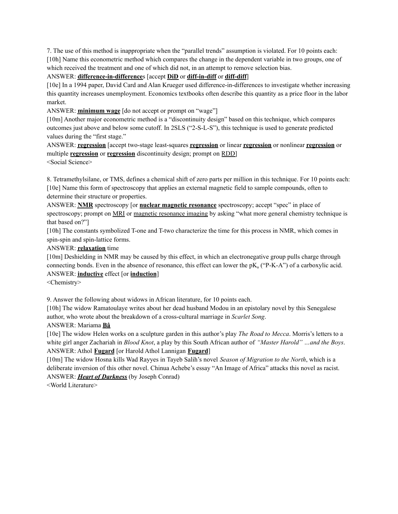7. The use of this method is inappropriate when the "parallel trends" assumption is violated. For 10 points each: [10h] Name this econometric method which compares the change in the dependent variable in two groups, one of which received the treatment and one of which did not, in an attempt to remove selection bias.

## ANSWER: **difference-in-difference**s [accept **DiD** or **diff-in-diff** or **diff-diff**]

[10e] In a 1994 paper, David Card and Alan Krueger used difference-in-differences to investigate whether increasing this quantity increases unemployment. Economics textbooks often describe this quantity as a price floor in the labor market.

ANSWER: **minimum wage** [do not accept or prompt on "wage"]

[10m] Another major econometric method is a "discontinuity design" based on this technique, which compares outcomes just above and below some cutoff. In 2SLS ("2-S-L-S"), this technique is used to generate predicted values during the "first stage."

ANSWER: **regression** [accept two-stage least-squares **regression** or linear **regression** or nonlinear **regression** or multiple **regression** or **regression** discontinuity design; prompt on RDD] <Social Science>

8. Tetramethylsilane, or TMS, defines a chemical shift of zero parts per million in this technique. For 10 points each: [10e] Name this form of spectroscopy that applies an external magnetic field to sample compounds, often to determine their structure or properties.

ANSWER: **NMR** spectroscopy [or **nuclear magnetic resonance** spectroscopy; accept "spec" in place of spectroscopy; prompt on MRI or magnetic resonance imaging by asking "what more general chemistry technique is that based on?"]

[10h] The constants symbolized T-one and T-two characterize the time for this process in NMR, which comes in spin-spin and spin-lattice forms.

### ANSWER: **relaxation** time

[10m] Deshielding in NMR may be caused by this effect, in which an electronegative group pulls charge through connecting bonds. Even in the absence of resonance, this effect can lower the  $pK_a$  ("P-K-A") of a carboxylic acid. ANSWER: **inductive** effect [or **induction**]

<Chemistry>

9. Answer the following about widows in African literature, for 10 points each.

[10h] The widow Ramatoulaye writes about her dead husband Modou in an epistolary novel by this Senegalese author, who wrote about the breakdown of a cross-cultural marriage in *Scarlet Song*.

### ANSWER: Mariama **Bâ**

[10e] The widow Helen works on a sculpture garden in this author's play *The Road to Mecca*. Morris's letters to a white girl anger Zachariah in *Blood Knot*, a play by this South African author of *"Master Harold" …and the Boys*. ANSWER: Athol **Fugard** [or Harold Athol Lannigan **Fugard**]

[10m] The widow Hosna kills Wad Rayyes in Tayeb Salih's novel *Season of Migration to the North*, which is a deliberate inversion of this other novel. Chinua Achebe's essay "An Image of Africa" attacks this novel as racist. ANSWER: *Heart of Darkness* (by Joseph Conrad)

<World Literature>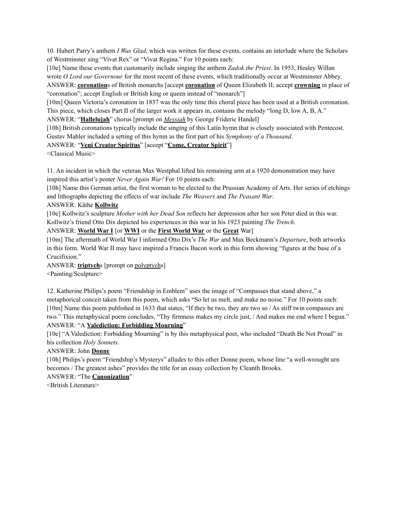10. Hubert Parry's anthem *I Was Glad*, which was written for these events, contains an interlude where the Scholars of Westminster sing "Vivat Rex" or "Vivat Regina." For 10 points each:

[10e] Name these events that customarily include singing the anthem *Zadok the Priest*. In 1953, Healey Willan wrote *O Lord our Governour* for the most recent of these events, which traditionally occur at Westminster Abbey. ANSWER: **coronation**s of British monarchs [accept **coronation** of Queen Elizabeth II; accept **crowning** in place of "coronation"; accept English or British king or queen instead of "monarch"]

[10m] Queen Victoria's coronation in 1837 was the only time this choral piece has been used at a British coronation. This piece, which closes Part II of the larger work it appears in, contains the melody "long D, low A, B, A."

ANSWER: "**Hallelujah**" chorus [prompt on *Messiah* by George Frideric Handel]

[10h] British coronations typically include the singing of this Latin hymn that is closely associated with Pentecost. Gustav Mahler included a setting of this hymn as the first part of his *Symphony of a Thousand*.

### ANSWER: "**Veni Creator Spiritus**" [accept "**Come, Creator Spirit**"]

<Classical Music>

11. An incident in which the veteran Max Westphal lifted his remaining arm at a 1920 demonstration may have inspired this artist's poster *Never Again War!* For 10 points each:

[10h] Name this German artist, the first woman to be elected to the Prussian Academy of Arts. Her series of etchings and lithographs depicting the effects of war include *The Weavers* and *The Peasant War*.

### ANSWER: Käthe **Kollwitz**

[10e] Kollwitz's sculpture *Mother with her Dead Son* reflects her depression after her son Peter died in this war. Kollwitz's friend Otto Dix depicted his experiences in this war in his 1923 painting *The Trench*.

ANSWER: **World War I** [or **WWI** or the **First World War** or the **Great** War]

[10m] The aftermath of World War I informed Otto Dix's *The War* and Max Beckmann's *Departure*, both artworks in this form. World War II may have inspired a Francis Bacon work in this form showing "figures at the base of a Crucifixion."

ANSWER: **triptych**s [prompt on polyptychs] <Painting/Sculpture>

12. Katherine Philips's poem "Friendship in Emblem" uses the image of "Compasses that stand above," a metaphorical conceit taken from this poem, which asks "So let us melt, and make no noise." For 10 points each: [10m] Name this poem published in 1633 that states, "If they be two, they are two so / As stiff twin compasses are two." This metaphysical poem concludes, "Thy firmness makes my circle just, / And makes me end where I begun." ANSWER: "A **Valediction: Forbidding Mourning**"

[10e] "A Valediction: Forbidding Mourning" is by this metaphysical poet, who included "Death Be Not Proud" in his collection *Holy Sonnets*.

### ANSWER: John **Donne**

[10h] Philips's poem "Friendship's Mysterys" alludes to this other Donne poem, whose line "a well-wrought urn becomes / The greatest ashes" provides the title for an essay collection by Cleanth Brooks.

### ANSWER: "The **Canonization**"

<British Literature>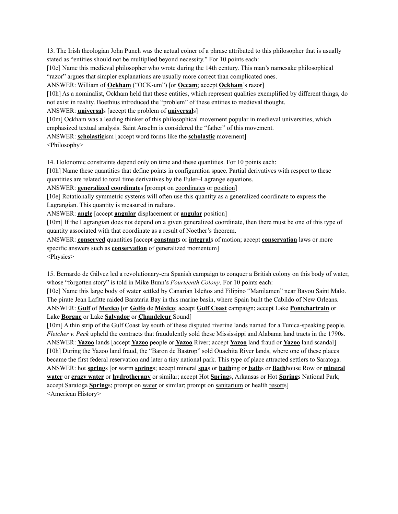13. The Irish theologian John Punch was the actual coiner of a phrase attributed to this philosopher that is usually stated as "entities should not be multiplied beyond necessity." For 10 points each:

[10e] Name this medieval philosopher who wrote during the 14th century. This man's namesake philosophical "razor" argues that simpler explanations are usually more correct than complicated ones.

ANSWER: William of **Ockham** ("OCK-um") [or **Occam**; accept **Ockham**'s razor]

[10h] As a nominalist, Ockham held that these entities, which represent qualities exemplified by different things, do not exist in reality. Boethius introduced the "problem" of these entities to medieval thought.

ANSWER: **universal**s [accept the problem of **universal**s]

[10m] Ockham was a leading thinker of this philosophical movement popular in medieval universities, which emphasized textual analysis. Saint Anselm is considered the "father" of this movement.

ANSWER: **scholastic**ism [accept word forms like the **scholastic** movement]

<Philosophy>

14. Holonomic constraints depend only on time and these quantities. For 10 points each:

[10h] Name these quantities that define points in configuration space. Partial derivatives with respect to these quantities are related to total time derivatives by the Euler–Lagrange equations.

ANSWER: **generalized coordinate**s [prompt on coordinates or position]

[10e] Rotationally symmetric systems will often use this quantity as a generalized coordinate to express the Lagrangian. This quantity is measured in radians.

ANSWER: **angle** [accept **angular** displacement or **angular** position]

[10m] If the Lagrangian does not depend on a given generalized coordinate, then there must be one of this type of quantity associated with that coordinate as a result of Noether's theorem.

ANSWER: **conserved** quantities [accept **constant**s or **integral**s of motion; accept **conservation** laws or more specific answers such as **conservation** of generalized momentum]

<Physics>

15. Bernardo de Gálvez led a revolutionary-era Spanish campaign to conquer a British colony on this body of water, whose "forgotten story" is told in Mike Bunn's *Fourteenth Colony*. For 10 points each:

[10e] Name this large body of water settled by Canarian Isleños and Filipino "Manilamen" near Bayou Saint Malo. The pirate Jean Lafitte raided Barataria Bay in this marine basin, where Spain built the Cabildo of New Orleans. ANSWER: **Gulf** of **Mexico** [or **Golfo** de **México**; accept **Gulf Coast** campaign; accept Lake **Pontchartrain** or Lake **Borgne** or Lake **Salvador** or **Chandeleur** Sound]

[10m] A thin strip of the Gulf Coast lay south of these disputed riverine lands named for a Tunica-speaking people. *Fletcher v. Peck* upheld the contracts that fraudulently sold these Mississippi and Alabama land tracts in the 1790s. ANSWER: **Yazoo** lands [accept **Yazoo** people or **Yazoo** River; accept **Yazoo** land fraud or **Yazoo** land scandal] [10h] During the Yazoo land fraud, the "Baron de Bastrop" sold Ouachita River lands, where one of these places became the first federal reservation and later a tiny national park. This type of place attracted settlers to Saratoga. ANSWER: hot **spring**s [or warm **spring**s; accept mineral **spa**s or **bath**ing or **bath**s or **Bath**house Row or **mineral water** or **crazy water** or **hydrotherapy** or similar; accept Hot **Spring**s, Arkansas or Hot **Spring**s National Park; accept Saratoga **Spring**s; prompt on water or similar; prompt on sanitarium or health resorts] <American History>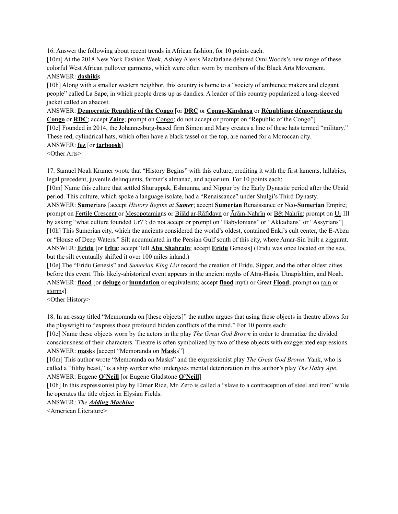16. Answer the following about recent trends in African fashion, for 10 points each.

[10m] At the 2018 New York Fashion Week, Ashley Alexis Macfarlane debuted Omi Woods's new range of these colorful West African pullover garments, which were often worn by members of the Black Arts Movement. ANSWER: **dashiki**s

[10h] Along with a smaller western neighbor, this country is home to a "society of ambience makers and elegant people" called La Sape, in which people dress up as dandies. A leader of this country popularized a long-sleeved jacket called an abacost.

ANSWER: **Democratic Republic of the Congo** [or **DRC** or **Congo-Kinshasa** or **République démocratique du**

**Congo** or **RDC**; accept **Zaire**; prompt on Congo; do not accept or prompt on "Republic of the Congo"] [10e] Founded in 2014, the Johannesburg-based firm Simon and Mary creates a line of these hats termed "military." These red, cylindrical hats, which often have a black tassel on the top, are named for a Moroccan city.

### ANSWER: **fez** [or **tarboosh**]

<Other Arts>

17. Samuel Noah Kramer wrote that "History Begins" with this culture, crediting it with the first laments, lullabies, legal precedent, juvenile delinquents, farmer's almanac, and aquarium. For 10 points each:

[10m] Name this culture that settled Shuruppak, Eshnunna, and Nippur by the Early Dynastic period after the Ubaid period. This culture, which spoke a language isolate, had a "Renaissance" under Shulgi's Third Dynasty.

ANSWER: **Sumer**ians [accept *History Begins at Sumer*; accept **Sumerian** Renaissance or Neo-**Sumerian** Empire; prompt on Fertile Crescent or Mesopotamians or Bilād ar-Rāfidayn or Ārām-Nahrīn or Bēt Nahrīn; prompt on Ur III by asking "what culture founded Ur?"; do not accept or prompt on "Babylonians" or "Akkadians" or "Assyrians"] [10h] This Sumerian city, which the ancients considered the world's oldest, contained Enki's cult center, the E-Abzu or "House of Deep Waters." Silt accumulated in the Persian Gulf south of this city, where Amar-Sin built a ziggurat. ANSWER: **Eridu** [or **Irîtu**; accept Tell **Abu Shahrain**; accept **Eridu** Genesis] (Eridu was once located on the sea, but the silt eventually shifted it over 100 miles inland.)

[10e] The "Eridu Genesis" and *Sumerian King List* record the creation of Eridu, Sippar, and the other oldest cities before this event. This likely-ahistorical event appears in the ancient myths of Atra-Hasis, Utnapishtim, and Noah. ANSWER: **flood** [or **deluge** or **inundation** or equivalents; accept **flood** myth or Great **Flood**; prompt on rain or storms]

<Other History>

18. In an essay titled "Memoranda on [these objects]" the author argues that using these objects in theatre allows for the playwright to "express those profound hidden conflicts of the mind." For 10 points each:

[10e] Name these objects worn by the actors in the play *The Great God Brown* in order to dramatize the divided consciousness of their characters. Theatre is often symbolized by two of these objects with exaggerated expressions. ANSWER: **mask**s [accept "Memoranda on **Mask**s"]

[10m] This author wrote "Memoranda on Masks" and the expressionist play *The Great God Brown*. Yank, who is called a "filthy beast," is a ship worker who undergoes mental deterioration in this author's play *The Hairy Ape*. ANSWER: Eugene **O'Neill** [or Eugene Gladstone **O'Neill**]

[10h] In this expressionist play by Elmer Rice, Mr. Zero is called a "slave to a contraception of steel and iron" while he operates the title object in Elysian Fields.

ANSWER: *The Adding Machine*

<American Literature>